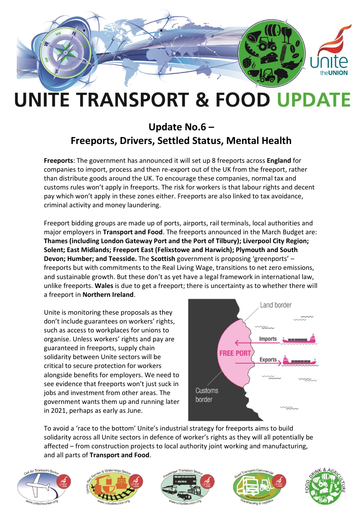

## **UNITE TRANSPORT & FOOD UPDATE**

## **Update No.6 – Freeports, Drivers, Settled Status, Mental Health**

**Freeports**: The government has announced it will set up 8 freeports across **England** for companies to import, process and then re-export out of the UK from the freeport, rather than distribute goods around the UK. To encourage these companies, normal tax and customs rules won't apply in freeports. The risk for workers is that labour rights and decent pay which won't apply in these zones either. Freeports are also linked to tax avoidance, criminal activity and money laundering.

Freeport bidding groups are made up of ports, airports, rail terminals, local authorities and major employers in **Transport and Food**. The freeports announced in the March Budget are: **Thames (including London Gateway Port and the Port of Tilbury); Liverpool City Region; Solent; East Midlands; Freeport East (Felixstowe and Harwich); Plymouth and South Devon; Humber; and Teesside.** The **Scottish** government is proposing 'greenports' – freeports but with commitments to the Real Living Wage, transitions to net zero emissions, and sustainable growth. But these don't as yet have a legal framework in international law, unlike freeports. **Wales** is due to get a freeport; there is uncertainty as to whether there will a freeport in **Northern Ireland**.

Unite is monitoring these proposals as they don't include guarantees on workers' rights, such as access to workplaces for unions to organise. Unless workers' rights and pay are guaranteed in freeports, supply chain solidarity between Unite sectors will be critical to secure protection for workers alongside benefits for employers. We need to see evidence that freeports won't just suck in jobs and investment from other areas. The government wants them up and running later in 2021, perhaps as early as June.



To avoid a 'race to the bottom' Unite's industrial strategy for freeports aims to build solidarity across all Unite sectors in defence of worker's rights as they will all potentially be affected – from construction projects to local authority joint working and manufacturing, and all parts of **Transport and Food**.